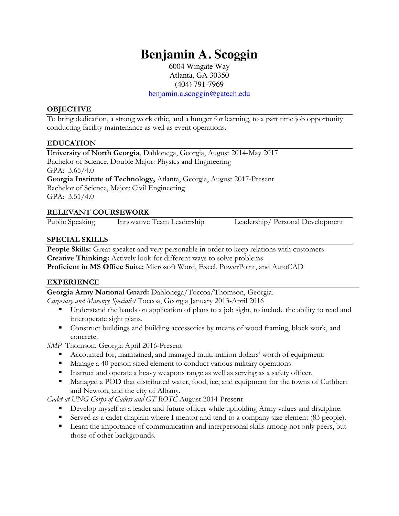# **Benjamin A. Scoggin**

6004 Wingate Way Atlanta, GA 30350 (404) 791-7969

benjamin.a.scoggin@gatech.edu

#### **OBJECTIVE**

To bring dedication, a strong work ethic, and a hunger for learning, to a part time job opportunity conducting facility maintenance as well as event operations.

### **EDUCATION**

**University of North Georgia**, Dahlonega, Georgia, August 2014-May 2017 Bachelor of Science, Double Major: Physics and Engineering GPA: 3.65/4.0 **Georgia Institute of Technology,** Atlanta, Georgia, August 2017-Present Bachelor of Science, Major: Civil Engineering GPA: 3.51/4.0

### **RELEVANT COURSEWORK**

Public Speaking Innovative Team Leadership Leadership/ Personal Development

**SPECIAL SKILLS**

People Skills: Great speaker and very personable in order to keep relations with customers **Creative Thinking:** Actively look for different ways to solve problems **Proficient in MS Office Suite:** Microsoft Word, Excel, PowerPoint, and AutoCAD

## **EXPERIENCE**

**Georgia Army National Guard:** Dahlonega/Toccoa/Thomson, Georgia.

*Carpentry and Masonry Specialist* Toccoa, Georgia January 2013-April 2016

- Understand the hands on application of plans to a job sight, to include the ability to read and interoperate sight plans.
- Construct buildings and building accessories by means of wood framing, block work, and concrete.

*SMP* Thomson, Georgia April 2016-Present

- Accounted for, maintained, and managed multi-million dollars' worth of equipment.
- Manage a 40 person sized element to conduct various military operations
- Instruct and operate a heavy weapons range as well as serving as a safety officer.
- Managed a POD that distributed water, food, ice, and equipment for the towns of Cuthbert and Newton, and the city of Albany.

*Cadet at UNG Corps of Cadets and GT ROTC* August 2014-Present

- Develop myself as a leader and future officer while upholding Army values and discipline.
- Served as a cadet chaplain where I mentor and tend to a company size element (83 people).
- Learn the importance of communication and interpersonal skills among not only peers, but those of other backgrounds.